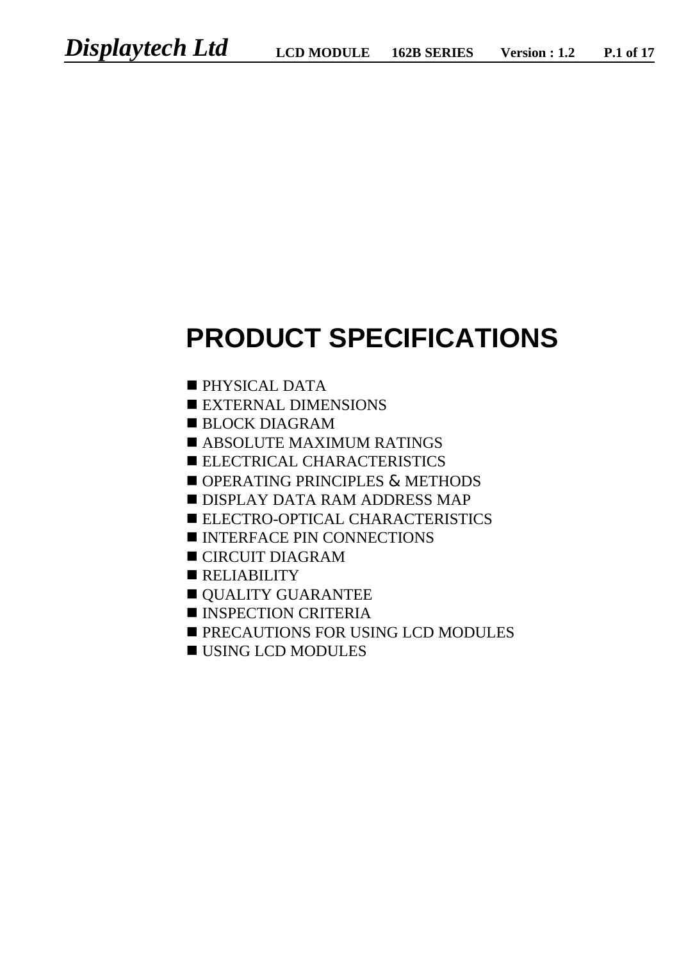# **PRODUCT SPECIFICATIONS**

- $\blacksquare$  PHYSICAL DATA
- **EXTERNAL DIMENSIONS**
- $\blacksquare$  BLOCK DIAGRAM
- **EXAMPLE MAXIMUM RATINGS**
- **ELECTRICAL CHARACTERISTICS**
- OPERATING PRINCIPLES & METHODS
- **n** DISPLAY DATA RAM ADDRESS MAP
- **ELECTRO-OPTICAL CHARACTERISTICS**
- **NEXT INTERFACE PIN CONNECTIONS**
- $\blacksquare$  CIRCUIT DIAGRAM
- $RELIABILITY$
- **OUALITY GUARANTEE**
- $\blacksquare$  INSPECTION CRITERIA
- **PRECAUTIONS FOR USING LCD MODULES**
- $\blacksquare$  USING LCD MODULES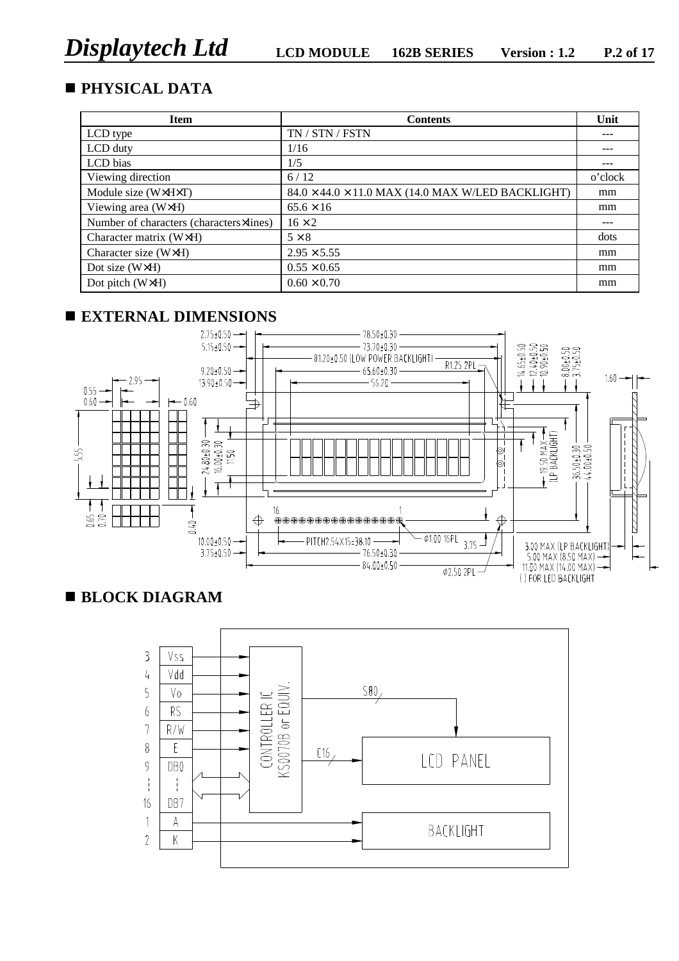# **n PHYSICAL DATA**

| <b>Item</b>                             | <b>Contents</b>                                               | Unit    |
|-----------------------------------------|---------------------------------------------------------------|---------|
| LCD type                                | TN / STN / FSTN                                               | ---     |
| LCD duty                                | 1/16                                                          | ---     |
| LCD bias                                | 1/5                                                           | ---     |
| Viewing direction                       | 6/12                                                          | o'clock |
| Module size (W×H×T)                     | $84.0 \times 44.0 \times 11.0$ MAX (14.0 MAX W/LED BACKLIGHT) | mm      |
| Viewing area (W×H)                      | $65.6 \times 16$                                              | mm      |
| Number of characters (characters×lines) | $16 \times 2$                                                 | ---     |
| Character matrix (W×H)                  | $5 \times 8$                                                  | dots    |
| Character size (W $\times$ H)           | $2.95 \times 5.55$                                            | mm      |
| Dot size (W×H)                          | $0.55 \times 0.65$                                            | mm      |
| Dot pitch (W×H)                         | $0.60 \times 0.70$                                            | mm      |

# **n EXTERNAL DIMENSIONS**



# **n BLOCK DIAGRAM**

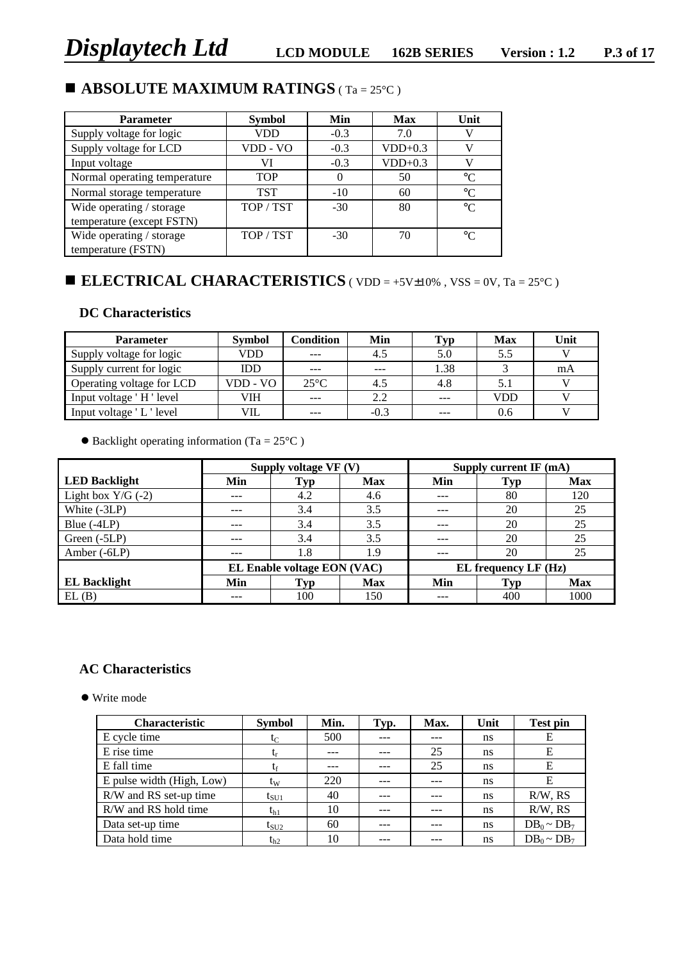# **n ABSOLUTE MAXIMUM RATINGS** ( Ta = 25°C )

| <b>Parameter</b>                                      | <b>Symbol</b> | Min    | <b>Max</b> | Unit            |
|-------------------------------------------------------|---------------|--------|------------|-----------------|
| Supply voltage for logic                              | VDD           | $-0.3$ | 7.0        |                 |
| Supply voltage for LCD                                | VDD - VO      | $-0.3$ | $VDD+0.3$  |                 |
| Input voltage                                         | VI            | $-0.3$ | $VDD+0.3$  |                 |
| Normal operating temperature                          | <b>TOP</b>    |        | 50         | $\rm ^{\circ}C$ |
| Normal storage temperature                            | <b>TST</b>    | $-10$  | 60         | $\rm ^{\circ}C$ |
| Wide operating / storage<br>temperature (except FSTN) | TOP / TST     | $-30$  | 80         | $^{\circ}C$     |
| Wide operating / storage<br>temperature (FSTN)        | TOP / TST     | $-30$  | 70         | $^{\circ}C$     |

# ■ **ELECTRICAL CHARACTERISTICS** ( VDD = +5V±10% , VSS = 0V, Ta = 25°C )

### **DC Characteristics**

| <b>Parameter</b>          | <b>Symbol</b> | Condition     | Min    | Typ     | <b>Max</b> | Unit |
|---------------------------|---------------|---------------|--------|---------|------------|------|
| Supply voltage for logic  | VDD           | $- - -$       | 4.5    | 5.0     | 5.5        |      |
| Supply current for logic  | <b>IDD</b>    | $- - -$       | $---$  | 1.38    |            | mA   |
| Operating voltage for LCD | VDD - VO      | $25^{\circ}C$ | 4.5    | 4.8     |            |      |
| Input voltage 'H' level   | VIH           | $\frac{1}{2}$ | 2.2    | $- - -$ | VDD        |      |
| Input voltage 'L' level   | VIL           |               | $-0.3$ |         | 0.6        |      |

 $\bullet$  Backlight operating information (Ta = 25°C)

|                      |     | Supply voltage VF (V)       |            |                      | Supply current IF (mA) |            |  |
|----------------------|-----|-----------------------------|------------|----------------------|------------------------|------------|--|
| <b>LED Backlight</b> | Min | Typ                         | <b>Max</b> | Min                  | Typ                    | <b>Max</b> |  |
| Light box $Y/G$ (-2) | --- | 4.2                         | 4.6        |                      | 80                     | 120        |  |
| White (-3LP)         | --- | 3.4                         | 3.5        | ---                  | 20                     | 25         |  |
| Blue $(-4LP)$        | --- | 3.4                         | 3.5        | $- - -$              | 20                     | 25         |  |
| Green (-5LP)         |     | 3.4                         | 3.5        | ---                  | 20                     | 25         |  |
| Amber (-6LP)         | --- | 1.8                         | 1.9        | ---                  | 20                     | 25         |  |
|                      |     | EL Enable voltage EON (VAC) |            | EL frequency LF (Hz) |                        |            |  |
| <b>EL Backlight</b>  | Min | Typ                         | <b>Max</b> | Min                  | <b>Typ</b>             | <b>Max</b> |  |
| EL(B)                |     | 100                         | 150        |                      | 400                    | 1000       |  |

#### **AC Characteristics**

• Write mode

| <b>Characteristic</b>     | <b>Symbol</b> | Min. | Typ. | Max. | Unit | <b>Test pin</b>  |
|---------------------------|---------------|------|------|------|------|------------------|
| E cycle time              | $t_C$         | 500  |      |      | ns   | Ε                |
| E rise time               | $t_{r}$       | ---  | ---  | 25   | ns   | E                |
| E fall time               | tr            | ---  | ---  | 25   | ns   | Е                |
| E pulse width (High, Low) | $t_{\rm W}$   | 220  | ---  |      | ns   | Е                |
| R/W and RS set-up time    | $t_{\rm SU1}$ | 40   | ---  |      | ns   | $R/W$ , $RS$     |
| R/W and RS hold time      | $t_{h1}$      | 10   | ---  |      | ns   | $R/W$ , $RS$     |
| Data set-up time          | $t_{\rm SU2}$ | 60   | ---  |      | ns   | $DB_0 \sim DB_7$ |
| Data hold time            | $t_{h2}$      | 10   | ---  |      | ns   | $DB_0 \sim DB_7$ |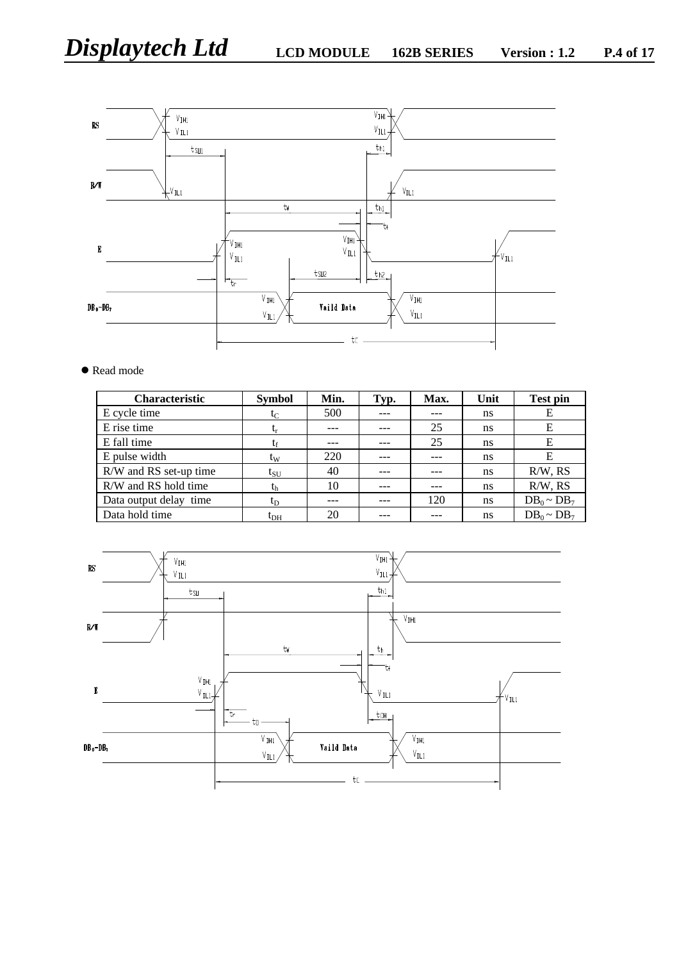

#### ● Read mode

| <b>Characteristic</b>  | <b>Symbol</b>   | Min. | Typ. | Max. | Unit | <b>Test pin</b>  |
|------------------------|-----------------|------|------|------|------|------------------|
| E cycle time           | $t_{\rm C}$     | 500  |      |      | ns   | Е                |
| E rise time            | $t_{\rm r}$     | ---  |      | 25   | ns   | Е                |
| E fall time            | tr              | ---  |      | 25   | ns   | Е                |
| E pulse width          | $t_{\rm W}$     | 220  |      |      | ns   | E                |
| R/W and RS set-up time | $t_{\rm SU}$    | 40   |      |      | ns   | $R/W$ , $RS$     |
| R/W and RS hold time   | t <sub>h</sub>  | 10   |      |      | ns   | $R/W$ , $RS$     |
| Data output delay time | $t_{\rm D}$     |      |      | 120  | ns   | $DB_0 \sim DB_7$ |
| Data hold time         | t <sub>dн</sub> | 20   |      |      | ns   | $DB_0 \sim DB_7$ |

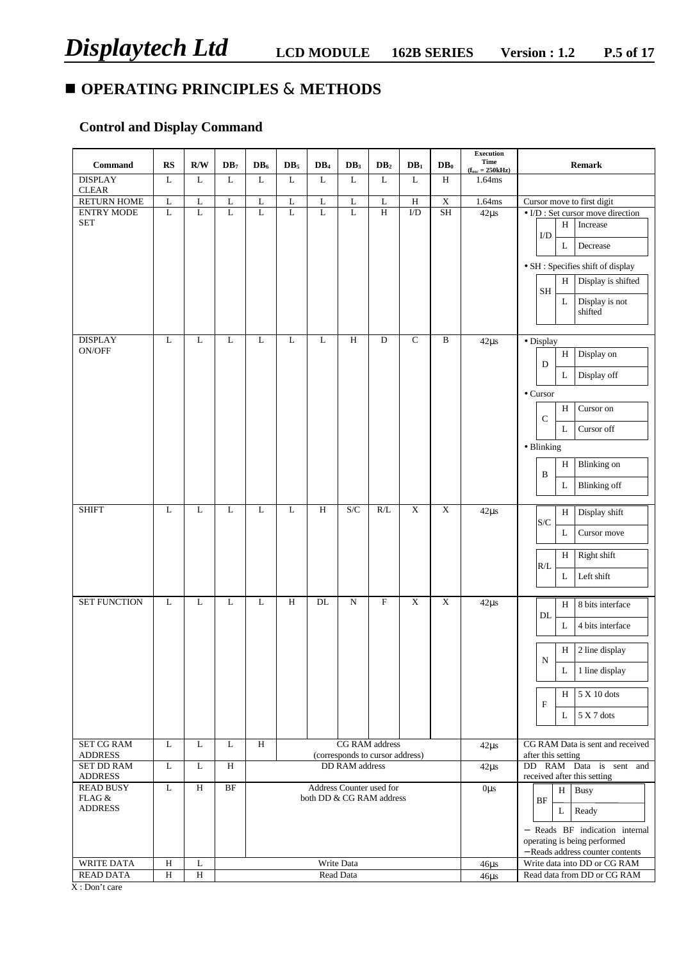# **n OPERATING PRINCIPLES & METHODS**

# **Control and Display Command**

| Command                                      | <b>RS</b>    | R/W          | DB <sub>7</sub> | $DB_6$      | DB <sub>5</sub> | DB <sub>4</sub>          | DB <sub>3</sub>       | DB <sub>2</sub>                                          | DB <sub>1</sub> | $DB_0$         | <b>Execution</b><br>Time<br>$(\mathbf{f}_{osc} = 250 \mathrm{kHz})$ | <b>Remark</b>                                                                                                                                                                                                         |
|----------------------------------------------|--------------|--------------|-----------------|-------------|-----------------|--------------------------|-----------------------|----------------------------------------------------------|-----------------|----------------|---------------------------------------------------------------------|-----------------------------------------------------------------------------------------------------------------------------------------------------------------------------------------------------------------------|
| <b>DISPLAY</b><br><b>CLEAR</b>               | $\mathbf L$  | $\mathbf L$  | $\mathbf L$     | $\mathbf L$ | L               | L                        | $\mathbf L$           | $\mathbf L$                                              | $\mathbf L$     | $\,$ H         | 1.64ms                                                              |                                                                                                                                                                                                                       |
| <b>RETURN HOME</b>                           | $\mathbf L$  | $\mathbf L$  | $\mathbf L$     | $\mathbf L$ | $\overline{L}$  | $\mathbf L$              | $\mathbf L$           | $\mathbf L$                                              | $\, {\rm H}$    | $\mathbf X$    | 1.64ms                                                              | Cursor move to first digit                                                                                                                                                                                            |
| <b>ENTRY MODE</b><br><b>SET</b>              | $\mathbf L$  | L            | L               | $\mathbf L$ | $\mathbf L$     | $\mathbf L$              | L                     | $\overline{H}$                                           | $\overline{UD}$ | SH             | $42\mu s$                                                           | $\bullet$ I/D : Set cursor move direction<br>Increase<br>H<br>I/D<br>Decrease<br>L<br>· SH : Specifies shift of display<br>Display is shifted<br>H<br>$\operatorname{SH}$<br>$\mathbf L$<br>Display is not<br>shifted |
| <b>DISPLAY</b>                               | $\mathbf L$  | $\mathbf L$  | $\mathbf L$     | $\mathbf L$ | $\mathbf L$     | $\mathbf L$              | $\, {\rm H}$          | $\mathbf D$                                              | $\overline{C}$  | $\, {\bf B}$   | $42\mu s$                                                           | · Display                                                                                                                                                                                                             |
| ON/OFF                                       |              |              |                 |             |                 |                          |                       |                                                          |                 |                |                                                                     | Display on<br>$\, {\rm H}$<br>D<br>L<br>Display off<br>$\bullet$ Cursor<br>H<br>Cursor on<br>$\mathsf{C}$<br>Cursor off<br>L<br>• Blinking<br>$\, {\rm H}$<br><b>Blinking</b> on<br>B<br><b>Blinking</b> off<br>L     |
| <b>SHIFT</b>                                 | $\mathbf L$  | L            | $\mathbf L$     | L           | $\mathbf L$     | $\overline{H}$           | S/C                   | R/L                                                      | $\overline{X}$  | $\overline{X}$ | $42\mu s$                                                           | Display shift<br>H                                                                                                                                                                                                    |
|                                              |              |              |                 |             |                 |                          |                       |                                                          |                 |                |                                                                     | S/C<br>L<br>Cursor move<br>Right shift<br>H<br>R/L<br>Left shift<br>L                                                                                                                                                 |
| <b>SET FUNCTION</b>                          | L            | L            | L               | L           | $\, {\rm H}$    | DL                       | ${\bf N}$             | $\boldsymbol{\mathrm{F}}$                                | $\mathbf X$     | X              | $42\mu s$                                                           | H<br>8 bits interface                                                                                                                                                                                                 |
|                                              |              |              |                 |             |                 |                          |                       |                                                          |                 |                |                                                                     | DL<br>L<br>4 bits interface<br>H<br>2 line display<br>${\bf N}$<br>1 line display<br>L<br>5 X 10 dots<br>H<br>F<br>5 X 7 dots<br>L                                                                                    |
| <b>SET CG RAM</b><br><b>ADDRESS</b>          | L            | L            | L               | H           |                 |                          |                       | <b>CG RAM</b> address<br>(corresponds to cursor address) |                 |                | $42\mu s$                                                           | CG RAM Data is sent and received<br>after this setting                                                                                                                                                                |
| <b>SET DD RAM</b><br><b>ADDRESS</b>          | L            | L            | Η               |             |                 |                          | <b>DD RAM</b> address |                                                          |                 |                | $42\mu s$                                                           | DD RAM Data is sent and<br>received after this setting                                                                                                                                                                |
| <b>READ BUSY</b><br>FLAG &<br><b>ADDRESS</b> | $\mathbf L$  | H            | $\rm{BF}$       |             |                 | both DD & CG RAM address |                       | Address Counter used for                                 |                 |                | $0\mu s$                                                            | <b>Busy</b><br>H<br>BF<br>Ready<br>L<br>- Reads BF indication internal<br>operating is being performed<br>- Reads address counter contents                                                                            |
| WRITE DATA                                   | H            | L            |                 |             |                 |                          | Write Data            |                                                          |                 |                | $46\mu s$                                                           | Write data into DD or CG RAM                                                                                                                                                                                          |
| <b>READ DATA</b>                             | $\, {\rm H}$ | $\, {\rm H}$ |                 |             |                 |                          | Read Data             |                                                          |                 |                | $46\mu s$                                                           | Read data from DD or CG RAM                                                                                                                                                                                           |

X : Don't care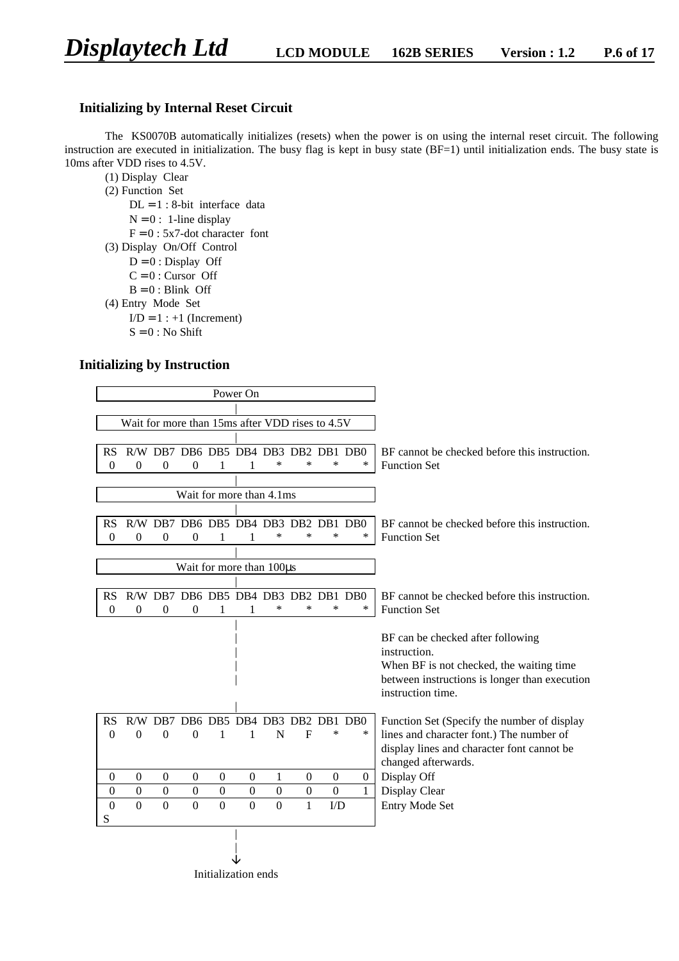#### **Initializing by Internal Reset Circuit**

The KS0070B automatically initializes (resets) when the power is on using the internal reset circuit. The following instruction are executed in initialization. The busy flag is kept in busy state (BF=1) until initialization ends. The busy state is 10ms after VDD rises to 4.5V.

(1) Display Clear

- (2) Function Set
	- $DL = 1$ : 8-bit interface data
	- $N = 0$ : 1-line display
	- $F = 0$ : 5x7-dot character font
- (3) Display On/Off Control
	- $D = 0$ : Display Off
	- $C = 0$ : Cursor Off
	- $B = 0$ : Blink Off
- (4) Entry Mode Set
	- $I/D = 1 : +1$  (Increment)
		- $S = 0$ : No Shift

#### **Initializing by Instruction**

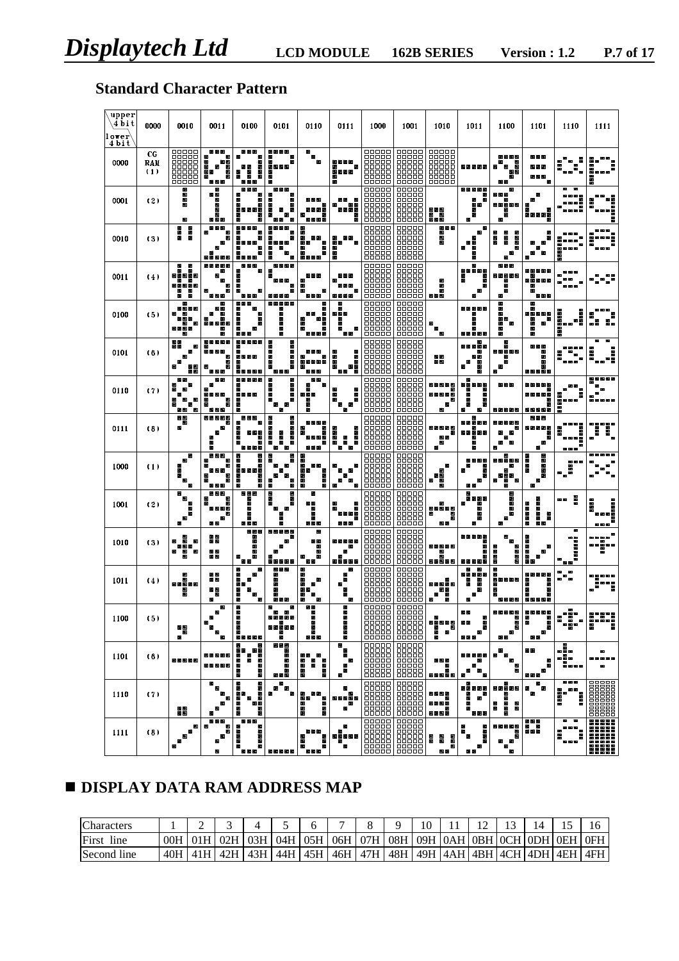# **Standard Character Pattern**

| upper<br>4 bit<br>lower<br>4 bit | 0000             | 0010                                                              | 0011                                         | 0100                                                            | 0101                                                             | 0110                                           | 0111                                 | 1000                                                                 | 1001                                                              | 1010                                               | 1011                                                  | 1100                                                       | 1101                                     | 1110                                       | 1111                  |
|----------------------------------|------------------|-------------------------------------------------------------------|----------------------------------------------|-----------------------------------------------------------------|------------------------------------------------------------------|------------------------------------------------|--------------------------------------|----------------------------------------------------------------------|-------------------------------------------------------------------|----------------------------------------------------|-------------------------------------------------------|------------------------------------------------------------|------------------------------------------|--------------------------------------------|-----------------------|
| 0000                             | CG<br>RAM<br>(1) | 88888<br>88888<br>00000<br>00000<br>00000                         | ш<br>W<br>ш<br>W<br>周围<br>Ш<br>鷗<br>m<br>語聞書 | в<br>Е<br>E<br>E<br>E<br>Е<br>I<br>畫<br>目<br>用用                 | E<br>E<br>E<br>E<br>E<br>E<br>в                                  |                                                | е<br>88 B<br>重要重要<br>H               | 88888<br>ooooo<br>00000<br>aaaaa<br>00000<br>00000                   | 00000<br>00000<br>88888<br>00000<br>00000<br>00000                | 88888<br>00000<br>00000<br>00000<br>00000<br>00000 |                                                       | $\blacksquare$<br>пĪ<br>æ                                  | 88 B                                     | ×                                          |                       |
| 0001                             | (2)              | H                                                                 | Б<br>医肠<br>Ď<br>m<br>Ø<br>9 M B              | 量<br>霥<br>в<br>¥<br>E<br>H<br>E<br>E<br>п<br>Е<br>E<br>E<br>Е   | ▄<br>5<br>п<br>в<br>ш<br>Ī<br>E<br>Е<br>E<br>п<br>E              | E<br>2 E E E<br>E.                             | 별명<br>国国<br>п                        | 88888<br>00000<br>00000<br>00000<br>88888<br>00000                   | 00000<br>00000<br>00000<br>00000<br>88888<br>00000                | wew<br>. .<br>装置图                                  | 最高量量量<br>E.<br>■<br>i۳<br>E<br>9                      | Е<br>M S M<br>п<br>WE M<br>П<br>п                          | E.<br>٠<br>8 S S                         | 독                                          | <b>HANK</b><br>i      |
| 0010                             | (3)              | m<br>M<br>自由語                                                     | Ш<br>Ø                                       | 語書語<br>n<br>B<br>in an<br>İ<br>2 S S S                          | я<br>E<br>ē<br>в<br>Е<br>Ë<br>E<br>E                             | Е<br>ŷ<br>n an<br>5 E<br>里<br>星田語語             | E.<br>9 B<br>i<br>I<br>E             | <b>BOOKS</b><br>aaaaa<br>66666<br>ooooo                              | <b>BOOK</b><br>BOOKB<br>00000<br>66666<br>00000                   | 自由語<br>986                                         | ÷<br>51<br>E<br>Е                                     | т<br>Į<br>Ē<br>H<br>W                                      | 로                                        | ×<br>е<br>夁<br>■                           | Ē                     |
| 0011                             | (4)              | Е<br>E<br>m<br>е<br>建氯己烯<br>m<br>æ<br>- 12<br>雪质蛋质<br>æ<br>в<br>m | ۸<br>團<br>W<br>W                             | Е<br>в<br>目目                                                    | 28 B<br>▄<br>п<br>п<br>۳<br>s.                                   | 精神的<br>s<br>в<br>в<br>æ<br>日本田                 | æ<br>開言<br>별별<br>書店                  | 00000<br>an 00<br>00000<br>nnnn<br>00000<br>66666<br>88888           | 00000<br>00000<br>88888<br>00000<br>66666<br>0000Q                | 開開<br>医胃菌                                          | E<br>e<br>EE<br>ł<br>в<br>E<br>E.<br>æ                | 自日語<br>E M<br>м<br>脼<br>м<br>Е                             | 6 E<br>百日<br>ш<br>■<br>電電車<br>m<br>6 S S | œ<br>m                                     |                       |
| 0100                             | (5)              | M E<br>m                                                          | m<br>圝                                       | E.<br>m an an<br>Е<br>п<br>■<br>888                             | ۳<br>is<br>B<br>m                                                | Į<br>is is a<br>в<br>m<br>888 B                | 8 B B<br>Е<br>圈<br>в<br>æ<br>国王      | ooooo<br>88888<br>00000<br>88888<br>00000                            | 00000<br>00000<br>00000<br>00000<br>88888<br>00000                | 医                                                  | Ħ<br>5 S S<br>第 頭                                     | F<br>е<br>п<br>◼<br>æ<br>۰                                 | e<br>E.<br>Œ<br>m                        | n de Nei<br><b>BREAK RE</b>                | E<br>Е<br>٠<br>z      |
| 0101                             | (6)              | п<br>۳<br>W<br>星田<br>м                                            | 目目<br>最優<br>Ш<br>黒嘴<br>自愿                    | э<br>E<br>ŕ.<br>п<br>п<br>圕<br>■<br>田 田                         | Е<br>Е<br><b>Ma</b><br>E<br>Е<br>Е<br>E<br>Е<br>E<br>Е<br>E<br>麜 | п<br>п<br>ш                                    | i i<br>i<br>田田<br>南田<br>п            | ooooo<br>ooooo<br>00000<br>00000<br>00000<br>00000                   | 00000<br>00000<br>00000<br>00000<br>00000<br>00000                | 8 M<br>8 W                                         | æ<br>E<br>E<br>ш<br>i                                 | N 2 B 2<br>ш<br>п<br>п<br>M                                | 国王<br>E<br>O<br>目<br>.                   |                                            | ш<br>j<br>Ē           |
| 0110                             | (7)              | Ш<br>m                                                            | м<br>M B<br>W<br>Ш<br>ü<br>W                 | .<br>E<br>E<br>N WEIGH<br>Е                                     | 医眼睛图<br>۰<br>i i<br>B<br>E<br>z<br>ш                             | 88 R<br>F<br>13 B                              | E<br>E<br>E<br>Е<br>Е<br>E,          | ooooo<br>00000<br>86666<br>88888<br>00000<br>00000<br>00000<br>00000 | 00000<br>88888<br>66666<br>00000<br>00000<br>00000                | F<br>ĸ                                             | m<br>۳ ب<br>63 B<br>Е<br>E<br>٠                       |                                                            |                                          |                                            | 医尿                    |
| 0111                             | (8)              | MM<br>М<br>н                                                      | Ш<br>۵                                       | --<br>œ<br>Г.<br>E<br>雷目<br>Е<br>E<br>Е<br>E.<br>E              | m di m di 19<br>W<br>E<br>Ē<br>š<br>I<br>Ē<br>E<br>s<br>E        | 3 E<br>n y a<br>в<br>F                         | в<br>Е<br>Ī<br>Ī<br>Е<br>۵<br>国<br>国 | 88888<br>nnnnn<br>88888<br>00000                                     | 00000<br>開開<br>00000<br>88888<br>00000                            | N E M E K<br>m<br>ш<br>医                           | a e<br>61 ES<br>н<br>m<br>88 S<br>E<br>E              | m                                                          | - - -<br>п<br>п                          | ٠                                          | Е                     |
| 1000                             | $\left(1\right)$ | м<br>Π<br>ш                                                       | 물<br>W<br>R                                  | E<br><b>Management</b><br>щ<br><b>THE REAL PROPERTY</b>         | н<br>E<br>Ш<br>W<br>в<br>в<br>п<br>œ<br>۳<br>Į                   | E<br>I<br>尾目<br>m u se<br>88 B<br>m<br>I       | E<br>Е<br>Æ<br>œ                     | aaaaa<br>00000<br>88888<br>88888                                     | 00000<br>00000<br>器器<br>66666<br>88888                            | п<br>М<br>自圖<br>E<br>W                             | E<br>ь                                                | м<br>電影画<br>ш<br>М<br>Ш                                    | F<br>医胃膜炎<br>Ш<br>◼<br>в<br>п<br>Е<br>Е  | ÷<br>Ĩ<br>ш                                |                       |
| 1001                             | (2)              | в<br>æ<br>m                                                       | w<br>w                                       | man ma                                                          | T<br>W<br>W<br>Е<br>۲<br>E<br>в<br>m                             | 電話<br>ш<br>п<br>п                              | Ë<br>.<br>в                          | 86866<br>00000<br>ooooo<br>00000<br>00000<br>00000<br>00000          | 00000<br>00000<br>00000<br>00000<br>00000<br>88888                | Ħ<br>m in Min<br>Ш                                 | Ħ<br>ш<br>æ<br>æ<br>æ<br>E                            | m<br>Е<br>Е<br>в                                           | E<br>e e e e<br>m m m m<br>H<br>E ۴      | E<br>68 BB                                 | <b>Mana</b><br>Η<br>i |
| 1010                             | (3)              | W<br>苦脳菌<br>Ш<br>m<br>m                                           | ■<br>追随<br>国國<br>震眾                          | 98 S<br>W W R<br>в<br>Е<br>Е<br>æ<br>в                          |                                                                  | 調整度<br>言目<br>Е<br>Е<br>麚                       | 屋<br>25551                           | 00000<br>00000<br>00000<br>00000<br>aaaaa<br>00000<br>00000          | 00000<br>00000<br>00000<br>00000<br>00000<br>00000<br>00000       | 間面<br>照常期富贵<br>ш<br>m                              | Е<br>E<br>E<br>æ                                      | M<br>M<br>Ш<br>릚<br>H                                      | Е<br>■■■■■                               | 国医<br><b>BURBUR</b>                        |                       |
| 1011                             | (4)              | M<br>闔                                                            | 語版<br>語風<br>書冊                               | 語目<br>щ<br>w<br>i i<br>m<br>e<br>Mul                            | 酾<br>W W H<br>۳<br>E<br>E<br>E                                   | 88<br>3<br>E<br>E                              | Ē.                                   | ooooo<br>00000<br>88886<br>00000<br>ooooo<br>00000<br>onnon          | 88888<br>00000<br>86666<br>00000<br>00000<br>00000<br>00000       | 调整测量图<br>書聞書<br>開き<br>Е                            | E<br>W<br>m<br>9 E<br>Ŧ<br>в<br>3<br>в<br>Е<br>Е<br>۰ | Ш<br>Ш<br>M                                                | в<br>E<br>E<br>Е                         | - -<br>æ<br>Е<br>۵<br>æ                    | ē<br><br>3            |
| 1100                             | (5)              | 重慶<br>f.                                                          | 麚<br>W<br>w<br>п                             | W<br>е<br>п<br>в<br>Е                                           | М<br>W<br>æ<br>н.<br>53338<br>E                                  | M B<br>в<br>Е<br>ш                             | в<br>ē<br>в<br>i<br>i                | an 000<br>00000<br>86666<br>-----<br>86666<br>00000<br>88888         | 00000<br>00000<br>66666<br>66 66 66 66<br>66666<br>00000<br>00000 | в<br>需要用量<br>I<br>$\blacksquare$<br>ш              | æ<br>田田<br>9 E<br>п<br>ш<br>ш                         | ш<br>ш<br>m<br>ш                                           | 圕<br>в<br>Е<br>п<br>п<br>п               | ÷<br>н<br>$\blacksquare$                   | irin                  |
| 1101                             | (6)              | 圈里圈里圈                                                             | 网络黑色属<br>南端<br>m = m                         | <br>W<br>ة ا<br>الأ<br>п<br>目<br>8<br>E                         | Е<br><b>18 W W</b><br>F<br>Ē<br>目<br>ī                           | 62 B<br>- 13<br>調度<br>Ţ<br>i<br>Hele<br>■<br>Е | w<br>I<br>医<br>œ<br>Е                | 00000<br>鼺<br>88888                                                  | 00000<br>開開<br>66666<br>00000<br>66666                            | п<br>手間電<br>п                                      | 66 E<br>88 B<br>里<br>н<br>E                           | 言語<br>■<br>$\blacksquare$<br>ш<br>麚<br>$\blacksquare$<br>W | 68 E<br>語目<br>■<br>п                     | j.<br>.<br>--<br>--                        | $\blacksquare$<br>۰   |
| 1110                             | (7)              | H                                                                 | ш<br>鼺<br>圈                                  | п<br>Ξ<br>Ξ<br>в<br>в<br>르르<br>п<br>目<br>H<br>Е<br>99<br>ē<br>в | 66 S<br>▄<br>п<br>п<br>п<br>п                                    | E۳<br>震災<br>ш<br>あほ<br>■<br>æ                  | Е<br>E<br>æ<br>s s s 5 s<br>•"       | 00000<br>00000<br>00000<br>00000<br><b>HEALER</b>                    | 00000<br>00000<br>00000<br>00000<br>開開                            | 破雪崩雪崩<br>網頭網圈<br>医<br>開發調整<br>в                    | ۸<br>龗<br>33335<br>н<br>п<br>п<br>в<br>Е<br>Ħ         | п<br>的复数香瓶<br>м<br>ш<br>ш<br>a)<br>M<br>m<br>ш<br>Ш        | E E E<br>п<br>в<br>▬                     | ---<br>書面<br>٠<br>ie<br>B<br><b>Man</b>    |                       |
| 1111                             | (8)              | ۸<br>m<br>М<br>æ<br>m                                             | E<br>目目目<br>ш<br>W<br>鱱<br>æ<br>w            | ē<br>ā<br>日日日<br>E<br>E<br>ш<br>Е<br>Е<br>в<br>е<br>88 B I      | 書籍書書籍                                                            | в<br>٠<br>Е<br>в<br>ŧ<br>■<br>828              | Е<br>æ<br>追回追回国<br>п<br>麚            | <b>00000</b><br>00000<br>00000<br>00000<br>00000<br>88888            | 00000<br>00000<br>00000<br>00000<br>00000<br>開開                   | 82 B S<br>H<br>I<br>w<br>m<br>関東                   | 22 Z<br>F<br>п<br>■<br>п<br>■<br>■<br>臣<br>98         | ш<br>м<br>m<br>ш<br>團<br>m<br>冒                            | 国王王<br>П                                 | $\blacksquare$<br>$\blacksquare$<br>ī<br>Ē |                       |

# $\blacksquare$  **DISPLAY DATA RAM ADDRESS MAP**

| Characters    |  |  |  |  | 10 |                                                                                               |  |  |  |
|---------------|--|--|--|--|----|-----------------------------------------------------------------------------------------------|--|--|--|
| First<br>line |  |  |  |  |    | ООН   01Н   02Н   03Н   04Н   05Н   06Н   07Н   08Н   09Н   0АН   0ВН   0СН   0DН   0EН   0FН |  |  |  |
| Second line   |  |  |  |  |    | 40H   41H   42H   43H   44H   45H   46H   47H   48H   49H  4AH   4BH  4CH  4DH   4EH   4FH    |  |  |  |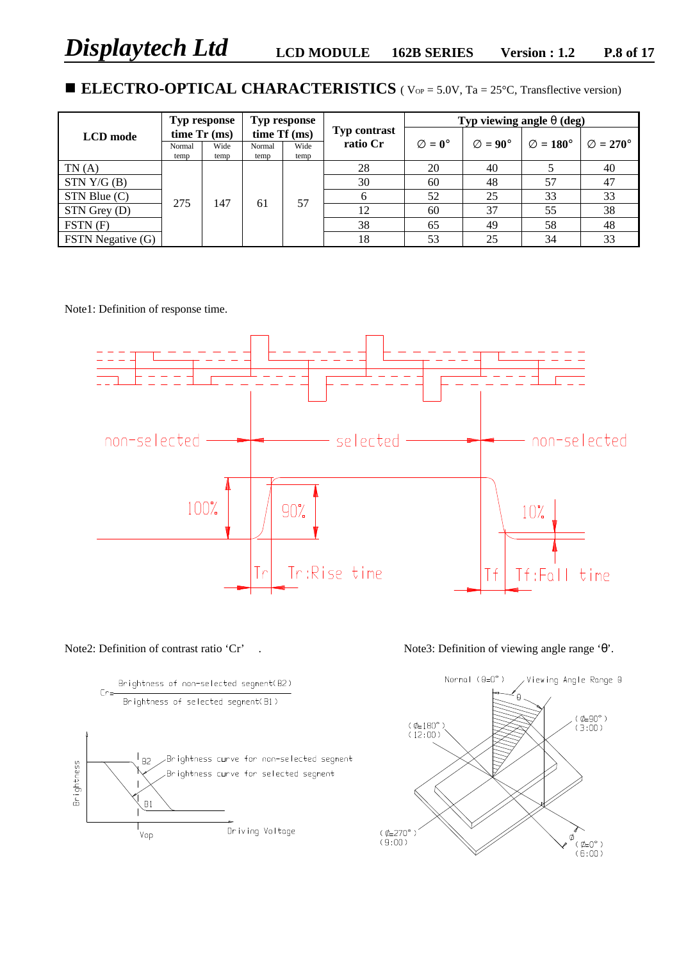# ■ **ELECTRO-OPTICAL CHARACTERISTICS** ( Vop = 5.0V, Ta = 25°C, Transflective version)

|                                |        | Typ response  |              | Typ response |                     |                          |                           | Typ viewing angle $q$ (deg) |                            |
|--------------------------------|--------|---------------|--------------|--------------|---------------------|--------------------------|---------------------------|-----------------------------|----------------------------|
| <b>LCD</b> mode                |        | time $Tr(ms)$ | time Tf (ms) |              | <b>Typ contrast</b> |                          |                           |                             |                            |
|                                | Normal | Wide          | Normal       | Wide         | ratio Cr            | $\mathbf{E} = 0^{\circ}$ | $\mathbf{E} = 90^{\circ}$ | $\mathbf{E} = 180^{\circ}$  | $\mathbf{E} = 270^{\circ}$ |
| TN(A)                          | temp   | temp          | temp         | temp         | 28                  | 20                       | 40                        |                             | 40                         |
|                                |        |               |              |              |                     |                          |                           |                             |                            |
| STN Y/G (B)                    |        |               |              |              | 30                  | 60                       | 48                        | 57                          | 47                         |
| $STN$ Blue $(C)$               | 275    | 147           |              | 57           |                     | 52                       | 25                        | 33                          | 33                         |
| STN Grey (D)                   |        |               | -61          |              | 12                  | 60                       | 37                        | 55                          | 38                         |
| $\overline{\text{FSTN}}$ $(F)$ |        |               |              |              | 38                  | 65                       | 49                        | 58                          | 48                         |
| FSTN Negative (G)              |        |               |              |              | 18                  | 53                       | 25                        | 34                          | 33                         |

Note1: Definition of response time.







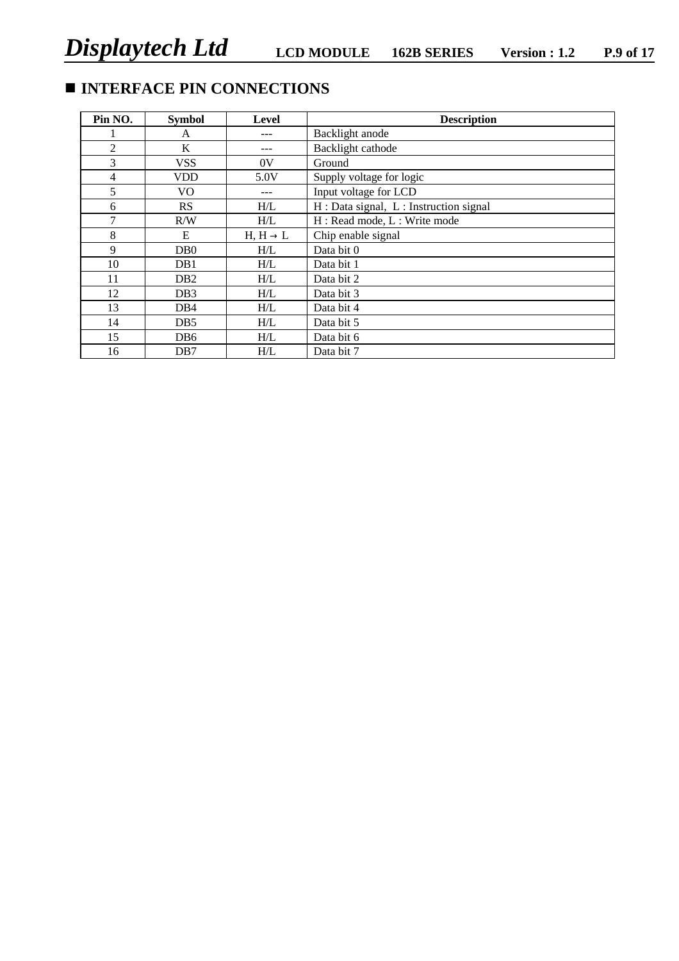# $\blacksquare$  **INTERFACE PIN CONNECTIONS**

| Pin NO.        | <b>Symbol</b>    | <b>Level</b>         | <b>Description</b>                    |
|----------------|------------------|----------------------|---------------------------------------|
|                | A                |                      | Backlight anode                       |
| $\overline{2}$ | K                |                      | Backlight cathode                     |
| 3              | <b>VSS</b>       | 0V                   | Ground                                |
| $\overline{4}$ | <b>VDD</b>       | 5.0V                 | Supply voltage for logic              |
| 5              | VO.              | ---                  | Input voltage for LCD                 |
| 6              | <b>RS</b>        | H/L                  | H: Data signal, L: Instruction signal |
| 7              | R/W              | H/L                  | H: Read mode, L: Write mode           |
| 8              | E                | $H, H \rightarrow L$ | Chip enable signal                    |
| 9              | D <sub>B</sub> 0 | H/L                  | Data bit 0                            |
| 10             | DB1              | H/L                  | Data bit 1                            |
| 11             | DB <sub>2</sub>  | H/L                  | Data bit 2                            |
| 12             | D <sub>B</sub> 3 | H/L                  | Data bit 3                            |
| 13             | DB4              | H/L                  | Data bit 4                            |
| 14             | D <sub>B5</sub>  | H/L                  | Data bit 5                            |
| 15             | DB6              | H/L                  | Data bit 6                            |
| 16             | DB7              | H/L                  | Data bit 7                            |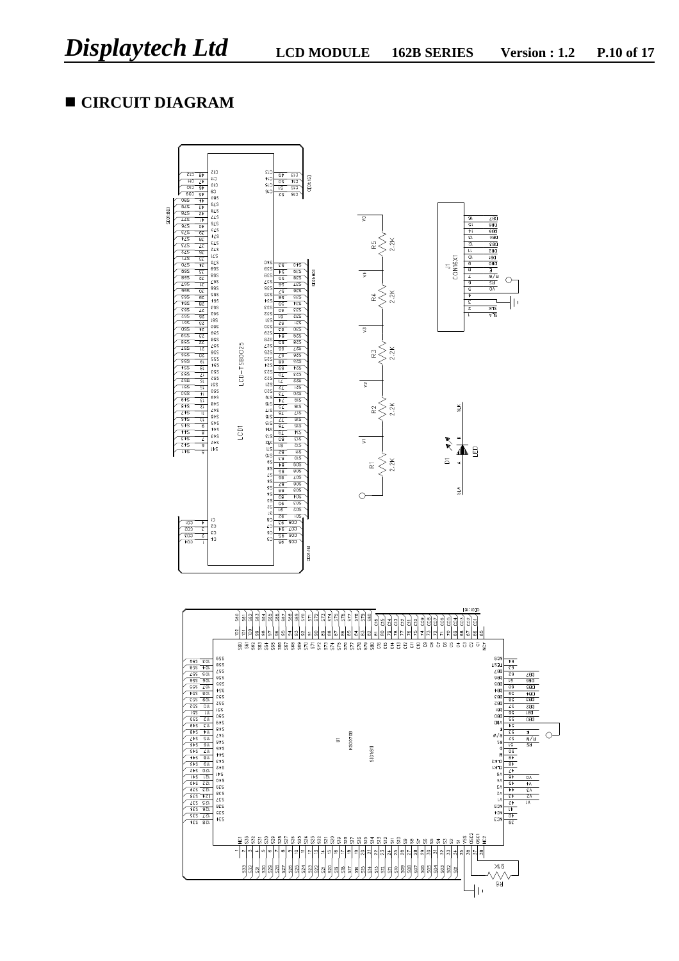# **n CIRCUIT DIAGRAM**

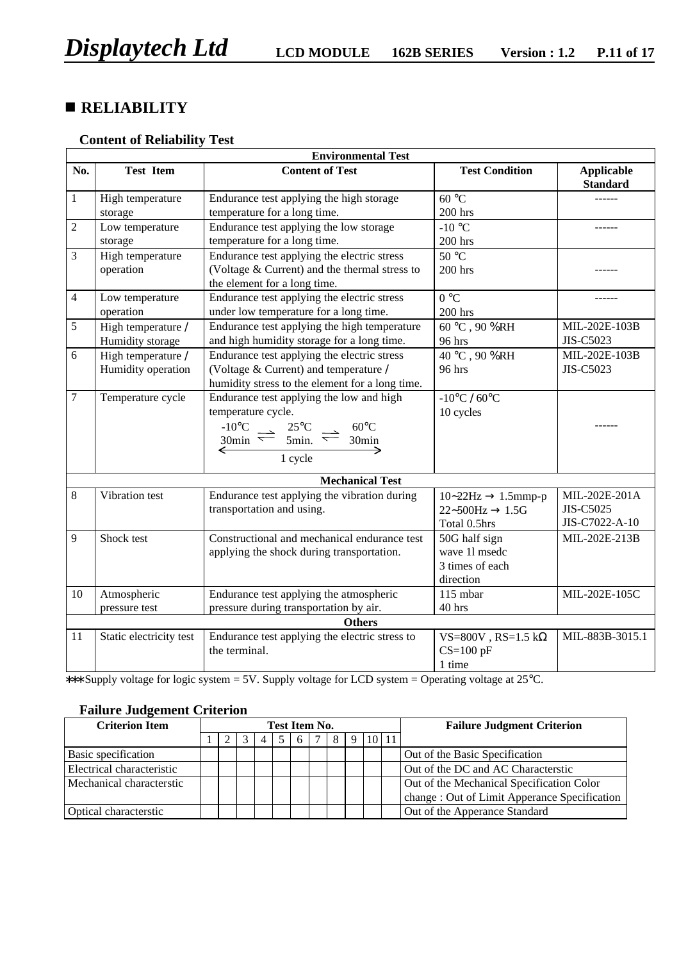# **n RELIABILITY**

### **Content of Reliability Test**

|                |                         | <b>Environmental Test</b>                                                  |                                                 |                                      |
|----------------|-------------------------|----------------------------------------------------------------------------|-------------------------------------------------|--------------------------------------|
| No.            | <b>Test Item</b>        | <b>Content of Test</b>                                                     | <b>Test Condition</b>                           | <b>Applicable</b><br><b>Standard</b> |
| $\mathbf{1}$   | High temperature        | Endurance test applying the high storage                                   | 60 °C                                           |                                      |
|                | storage                 | temperature for a long time.                                               | 200 hrs                                         |                                      |
| 2              | Low temperature         | Endurance test applying the low storage                                    | $-10$ °C                                        |                                      |
|                | storage                 | temperature for a long time.                                               | 200 hrs                                         |                                      |
| 3              | High temperature        | Endurance test applying the electric stress                                | 50 °C                                           |                                      |
|                | operation               | (Voltage & Current) and the thermal stress to                              | 200 hrs                                         |                                      |
|                |                         | the element for a long time.                                               |                                                 |                                      |
| $\overline{4}$ | Low temperature         | Endurance test applying the electric stress                                | $0^{\circ}C$                                    |                                      |
|                | operation               | under low temperature for a long time.                                     | 200 hrs                                         |                                      |
| 5              | High temperature /      | Endurance test applying the high temperature                               | $60\,^{\circ}\textrm{C}$ , $90\,\% \textrm{RH}$ | MIL-202E-103B                        |
|                | Humidity storage        | and high humidity storage for a long time.                                 | 96 hrs                                          | JIS-C5023                            |
| 6              | High temperature /      | Endurance test applying the electric stress                                | 40 °C, 90 %RH                                   | MIL-202E-103B                        |
|                | Humidity operation      | (Voltage & Current) and temperature /                                      | 96 hrs                                          | JIS-C5023                            |
|                |                         | humidity stress to the element for a long time.                            |                                                 |                                      |
| $\overline{7}$ | Temperature cycle       | Endurance test applying the low and high                                   | $-10^{\circ}$ C / 60 $^{\circ}$ C               |                                      |
|                |                         | temperature cycle.                                                         | 10 cycles                                       |                                      |
|                |                         | $-10^{\circ}$ C $\rightarrow$ 25°C<br>$60^{\circ}$ C                       |                                                 |                                      |
|                |                         | $30\text{min} \rightleftharpoons 5\text{min.} \rightleftharpoons$<br>30min |                                                 |                                      |
|                |                         | ←<br>1 cycle                                                               |                                                 |                                      |
|                |                         |                                                                            |                                                 |                                      |
|                |                         | <b>Mechanical Test</b>                                                     |                                                 |                                      |
| $8\,$          | Vibration test          | Endurance test applying the vibration during                               | $10-22Hz \rightarrow 1.5mmp-p$                  | MIL-202E-201A                        |
|                |                         | transportation and using.                                                  | $22 \sim 500$ Hz $\rightarrow 1.5$ G            | JIS-C5025                            |
|                |                         |                                                                            | Total 0.5hrs                                    | JIS-C7022-A-10                       |
| 9              | Shock test              | Constructional and mechanical endurance test                               | 50G half sign                                   | MIL-202E-213B                        |
|                |                         | applying the shock during transportation.                                  | wave 11 msedc                                   |                                      |
|                |                         |                                                                            | 3 times of each                                 |                                      |
|                |                         |                                                                            | direction                                       |                                      |
| 10             | Atmospheric             | Endurance test applying the atmospheric                                    | 115 mbar                                        | MIL-202E-105C                        |
|                | pressure test           | pressure during transportation by air.                                     | 40 hrs                                          |                                      |
|                |                         | <b>Others</b>                                                              |                                                 |                                      |
| 11             | Static electricity test | Endurance test applying the electric stress to                             | VS=800V, RS=1.5 k $\Omega$                      | MIL-883B-3015.1                      |
|                |                         | the terminal.                                                              | $CS=100$ pF                                     |                                      |
|                |                         |                                                                            | 1 time                                          |                                      |

∗∗∗ Supply voltage for logic system = 5V. Supply voltage for LCD system = Operating voltage at 25°C.

## **Failure Judgement Criterion**

| <b>Criterion Item</b>     | Test Item No. |  |  |  |  |   |   |             |       | <b>Failure Judgment Criterion</b>             |  |
|---------------------------|---------------|--|--|--|--|---|---|-------------|-------|-----------------------------------------------|--|
|                           |               |  |  |  |  | 6 | 8 | $\mathbf Q$ | 10 11 |                                               |  |
| Basic specification       |               |  |  |  |  |   |   |             |       | Out of the Basic Specification                |  |
| Electrical characteristic |               |  |  |  |  |   |   |             |       | Out of the DC and AC Characterstic            |  |
| Mechanical characterstic  |               |  |  |  |  |   |   |             |       | Out of the Mechanical Specification Color     |  |
|                           |               |  |  |  |  |   |   |             |       | change : Out of Limit Apperance Specification |  |
| Optical characterstic     |               |  |  |  |  |   |   |             |       | Out of the Apperance Standard                 |  |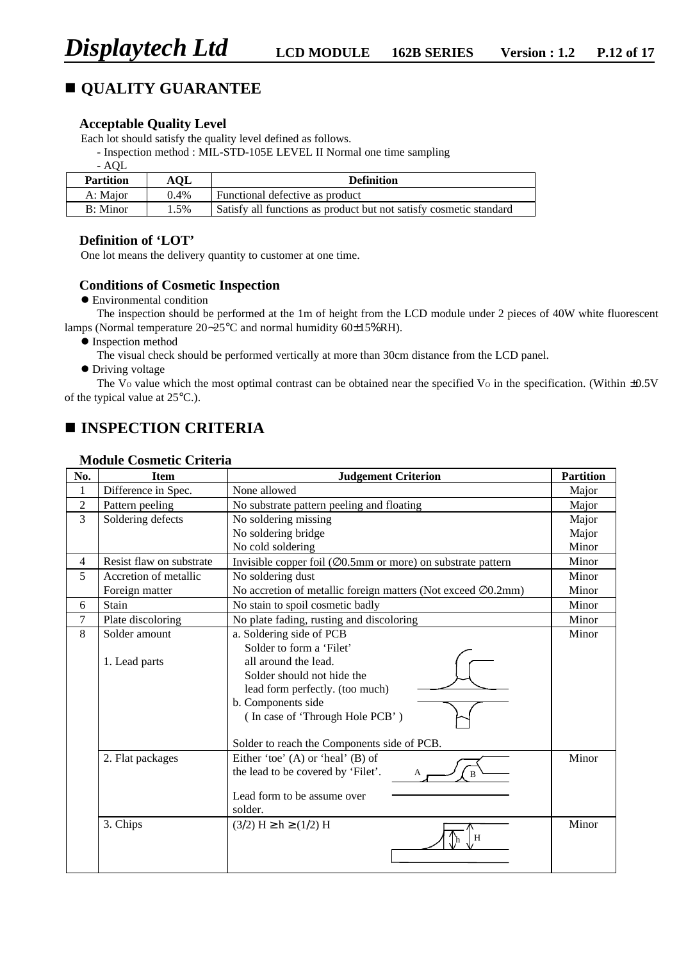# **n QUALITY GUARANTEE**

#### **Acceptable Quality Level**

Each lot should satisfy the quality level defined as follows.

- Inspection method : MIL-STD-105E LEVEL II Normal one time sampling

- AQL

| <b>Partition</b> | AOL     | <b>Definition</b>                                                  |
|------------------|---------|--------------------------------------------------------------------|
| A: Major         | $0.4\%$ | Functional defective as product                                    |
| B: Minor         | 1.5%    | Satisfy all functions as product but not satisfy cosmetic standard |

#### **Definition of 'LOT'**

One lot means the delivery quantity to customer at one time.

#### **Conditions of Cosmetic Inspection**

**•** Environmental condition

The inspection should be performed at the 1m of height from the LCD module under 2 pieces of 40W white fluorescent lamps (Normal temperature 20∼25°C and normal humidity 60±15%RH).

- $\bullet$  Inspection method
	- The visual check should be performed vertically at more than 30cm distance from the LCD panel.
- $\bullet$  Driving voltage

The V<sub>o</sub> value which the most optimal contrast can be obtained near the specified V<sub>o</sub> in the specification. (Within  $\pm 0.5V$ of the typical value at 25°C.).

# **n INSPECTION CRITERIA**

| No.            | <b>Item</b>              | <b>Judgement Criterion</b>                                                | <b>Partition</b> |
|----------------|--------------------------|---------------------------------------------------------------------------|------------------|
| 1              | Difference in Spec.      | None allowed                                                              | Major            |
| $\overline{c}$ | Pattern peeling          | No substrate pattern peeling and floating                                 | Major            |
| 3              | Soldering defects        | No soldering missing                                                      | Major            |
|                |                          | No soldering bridge                                                       | Major            |
|                |                          | No cold soldering                                                         | Minor            |
| 4              | Resist flaw on substrate | Invisible copper foil ( $\emptyset$ 0.5mm or more) on substrate pattern   | Minor            |
| 5              | Accretion of metallic    | No soldering dust                                                         | Minor            |
|                | Foreign matter           | No accretion of metallic foreign matters (Not exceed $\varnothing$ 0.2mm) | Minor            |
| 6              | Stain                    | No stain to spoil cosmetic badly                                          | Minor            |
| 7              | Plate discoloring        | No plate fading, rusting and discoloring                                  | Minor            |
| 8              | Solder amount            | a. Soldering side of PCB                                                  | Minor            |
|                |                          | Solder to form a 'Filet'                                                  |                  |
|                | 1. Lead parts            | all around the lead.                                                      |                  |
|                |                          | Solder should not hide the                                                |                  |
|                |                          | lead form perfectly. (too much)                                           |                  |
|                |                          | b. Components side                                                        |                  |
|                |                          | (In case of 'Through Hole PCB')                                           |                  |
|                |                          | Solder to reach the Components side of PCB.                               |                  |
|                | 2. Flat packages         | Either 'toe' $(A)$ or 'heal' $(B)$ of                                     | Minor            |
|                |                          | the lead to be covered by 'Filet'.                                        |                  |
|                |                          |                                                                           |                  |
|                |                          | Lead form to be assume over                                               |                  |
|                |                          | solder.                                                                   |                  |
|                | 3. Chips                 | $(3/2)$ H $\geq$ h $\geq$ (1/2) H<br>H                                    | Minor            |
|                |                          |                                                                           |                  |

#### **Module Cosmetic Criteria**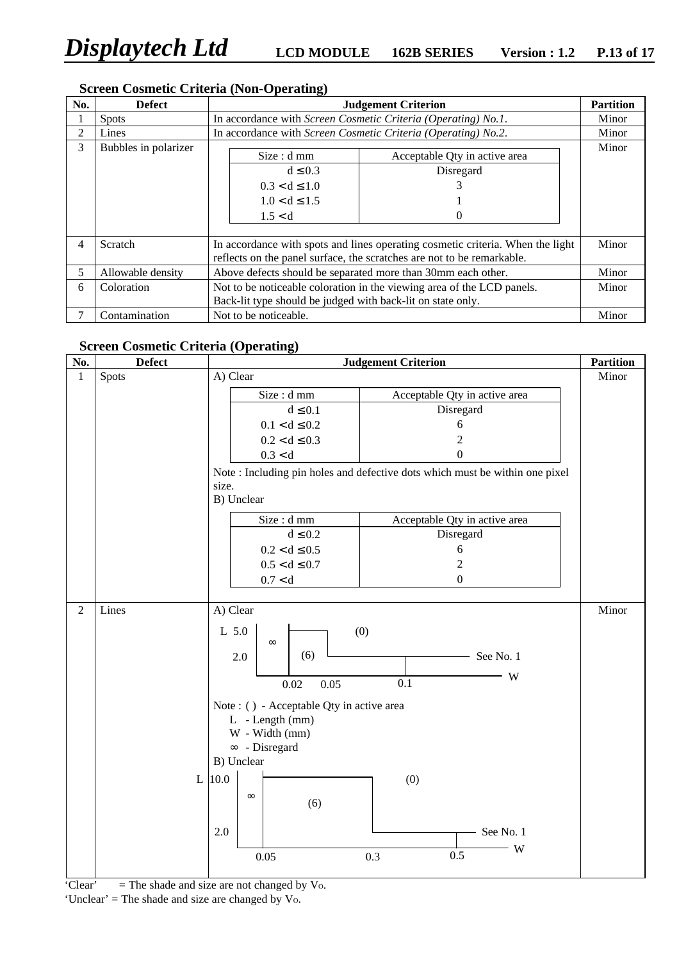# **Screen Cosmetic Criteria (Non-Operating)**

| No. | <b>Defect</b>        | <b>Judgement Criterion</b>                                                                                                                               |                                                        |       |  |  |  |  |  |
|-----|----------------------|----------------------------------------------------------------------------------------------------------------------------------------------------------|--------------------------------------------------------|-------|--|--|--|--|--|
|     | <b>Spots</b>         | In accordance with Screen Cosmetic Criteria (Operating) No.1.                                                                                            |                                                        |       |  |  |  |  |  |
| 2   | Lines                | In accordance with Screen Cosmetic Criteria (Operating) No.2.                                                                                            |                                                        |       |  |  |  |  |  |
| 3   | Bubbles in polarizer | Size: dmm<br>$d \leq 0.3$<br>$0.3 < d \leq 1.0$<br>$1.0 < d \leq 1.5$<br>1.5 < d                                                                         | Acceptable Qty in active area<br>Disregard<br>$\theta$ | Minor |  |  |  |  |  |
| 4   | Scratch              | In accordance with spots and lines operating cosmetic criteria. When the light<br>reflects on the panel surface, the scratches are not to be remarkable. |                                                        |       |  |  |  |  |  |
| 5   | Allowable density    | Above defects should be separated more than 30mm each other.                                                                                             |                                                        |       |  |  |  |  |  |
| 6   | Coloration           | Not to be noticeable coloration in the viewing area of the LCD panels.                                                                                   |                                                        |       |  |  |  |  |  |
|     |                      | Back-lit type should be judged with back-lit on state only.                                                                                              |                                                        |       |  |  |  |  |  |
| 7   | Contamination        | Not to be noticeable.                                                                                                                                    |                                                        |       |  |  |  |  |  |

### **Screen Cosmetic Criteria (Operating)**

| Spots |                                                            |                                                           | Minor                                                                                                                                                            |  |  |  |  |
|-------|------------------------------------------------------------|-----------------------------------------------------------|------------------------------------------------------------------------------------------------------------------------------------------------------------------|--|--|--|--|
|       | <b>Judgement Criterion</b><br><b>Partition</b><br>A) Clear |                                                           |                                                                                                                                                                  |  |  |  |  |
|       | Size : d mm                                                | Acceptable Qty in active area                             |                                                                                                                                                                  |  |  |  |  |
|       | $d \leq 0.1$                                               | Disregard                                                 |                                                                                                                                                                  |  |  |  |  |
|       | $0.1 < d \leq 0.2$                                         | 6                                                         |                                                                                                                                                                  |  |  |  |  |
|       | $0.2 < d \leq 0.3$                                         | $\overline{2}$                                            |                                                                                                                                                                  |  |  |  |  |
|       | 0.3 < d                                                    | $\boldsymbol{0}$                                          |                                                                                                                                                                  |  |  |  |  |
|       |                                                            |                                                           |                                                                                                                                                                  |  |  |  |  |
|       | size.                                                      |                                                           |                                                                                                                                                                  |  |  |  |  |
|       |                                                            |                                                           |                                                                                                                                                                  |  |  |  |  |
|       | Size: d mm                                                 |                                                           |                                                                                                                                                                  |  |  |  |  |
|       | $d\leq 0.2$                                                | Disregard                                                 |                                                                                                                                                                  |  |  |  |  |
|       | $0.2 < d \le 0.5$                                          | $\sqrt{6}$                                                |                                                                                                                                                                  |  |  |  |  |
|       | $0.5 < d \leq 0.7$                                         | $\overline{2}$                                            |                                                                                                                                                                  |  |  |  |  |
|       | 0.7 < d                                                    | $\mathbf{0}$                                              |                                                                                                                                                                  |  |  |  |  |
|       |                                                            |                                                           | Minor                                                                                                                                                            |  |  |  |  |
|       |                                                            |                                                           |                                                                                                                                                                  |  |  |  |  |
|       | $\infty$<br>(6)<br>2.0<br>0.02<br>0.05<br>L - Length (mm)  | See No. 1<br>W<br>0.1                                     |                                                                                                                                                                  |  |  |  |  |
|       | W - Width (mm)                                             |                                                           |                                                                                                                                                                  |  |  |  |  |
|       | $\infty$ - Disregard                                       |                                                           |                                                                                                                                                                  |  |  |  |  |
|       |                                                            |                                                           |                                                                                                                                                                  |  |  |  |  |
|       | $\infty$<br>(6)                                            | (0)                                                       |                                                                                                                                                                  |  |  |  |  |
|       | 2.0<br>0.05                                                | See No. 1<br>W<br>0.5<br>0.3                              |                                                                                                                                                                  |  |  |  |  |
|       | Lines                                                      | B) Unclear<br>A) Clear<br>L 5.0<br>B) Unclear<br>$L$ 10.0 | Note: Including pin holes and defective dots which must be within one pixel<br>Acceptable Qty in active area<br>(0)<br>Note : () - Acceptable Qty in active area |  |  |  |  |

'Clear'  $=$  The shade and size are not changed by Vo.

'Unclear' = The shade and size are changed by  $V_0$ .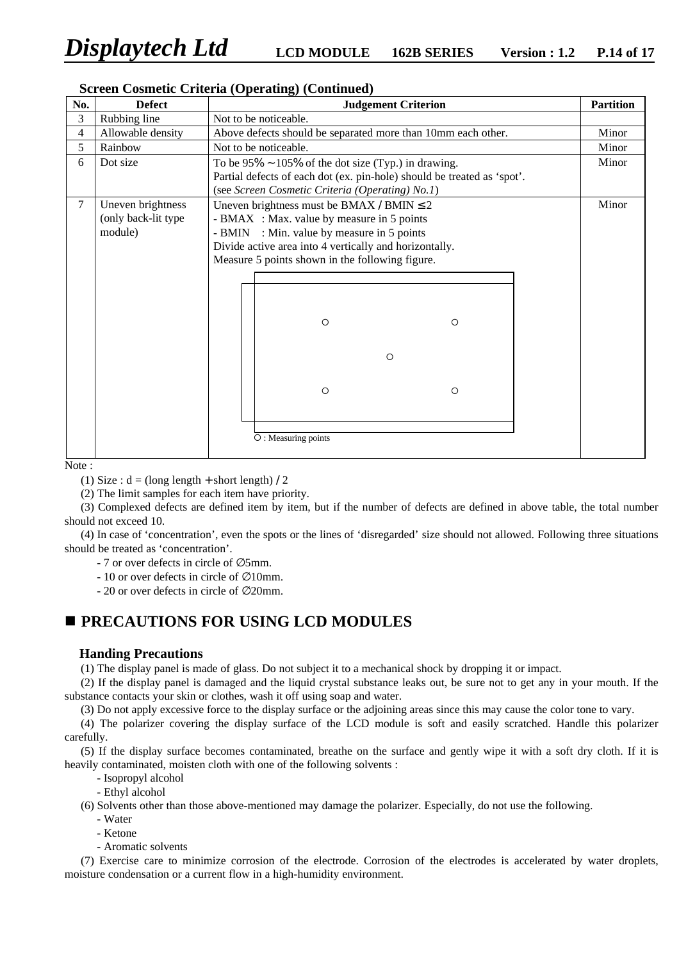|     |                     | Screen Cosmetic Criteria (Operating) (Continued)                        |                  |  |  |  |  |  |
|-----|---------------------|-------------------------------------------------------------------------|------------------|--|--|--|--|--|
| No. | <b>Defect</b>       | <b>Judgement Criterion</b>                                              | <b>Partition</b> |  |  |  |  |  |
| 3   | Rubbing line        | Not to be noticeable.                                                   |                  |  |  |  |  |  |
| 4   | Allowable density   | Above defects should be separated more than 10mm each other.            | Minor            |  |  |  |  |  |
| 5   | Rainbow             | Not to be noticeable.                                                   | Minor            |  |  |  |  |  |
| 6   | Dot size            | To be $95\% \sim 105\%$ of the dot size (Typ.) in drawing.              | Minor            |  |  |  |  |  |
|     |                     | Partial defects of each dot (ex. pin-hole) should be treated as 'spot'. |                  |  |  |  |  |  |
|     |                     | (see Screen Cosmetic Criteria (Operating) No.1)                         |                  |  |  |  |  |  |
| 7   | Uneven brightness   | Uneven brightness must be BMAX / BMIN $\leq 2$                          | Minor            |  |  |  |  |  |
|     | (only back-lit type | - BMAX : Max. value by measure in 5 points                              |                  |  |  |  |  |  |
|     | module)             | - BMIN : Min. value by measure in 5 points                              |                  |  |  |  |  |  |
|     |                     | Divide active area into 4 vertically and horizontally.                  |                  |  |  |  |  |  |
|     |                     | Measure 5 points shown in the following figure.                         |                  |  |  |  |  |  |
|     |                     |                                                                         |                  |  |  |  |  |  |
|     |                     |                                                                         |                  |  |  |  |  |  |
|     |                     |                                                                         |                  |  |  |  |  |  |
|     |                     |                                                                         |                  |  |  |  |  |  |
|     |                     | $\circ$<br>$\circ$                                                      |                  |  |  |  |  |  |
|     |                     |                                                                         |                  |  |  |  |  |  |
|     |                     | $\circ$                                                                 |                  |  |  |  |  |  |
|     |                     |                                                                         |                  |  |  |  |  |  |
|     |                     |                                                                         |                  |  |  |  |  |  |
|     |                     | $\circ$<br>O                                                            |                  |  |  |  |  |  |
|     |                     |                                                                         |                  |  |  |  |  |  |
|     |                     |                                                                         |                  |  |  |  |  |  |
|     |                     | O: Measuring points                                                     |                  |  |  |  |  |  |
|     |                     |                                                                         |                  |  |  |  |  |  |
|     |                     |                                                                         |                  |  |  |  |  |  |

#### **reen Cosmetic Criteria (Operating) (Continued)**

Note :

(1) Size :  $d = (long length + short length) / 2$ 

(2) The limit samples for each item have priority.

(3) Complexed defects are defined item by item, but if the number of defects are defined in above table, the total number should not exceed 10.

(4) In case of 'concentration', even the spots or the lines of 'disregarded' size should not allowed. Following three situations should be treated as 'concentration'.

- 7 or over defects in circle of ∅5mm.

- 10 or over defects in circle of ∅10mm.

- 20 or over defects in circle of ∅20mm.

# **n PRECAUTIONS FOR USING LCD MODULES**

#### **Handing Precautions**

(1) The display panel is made of glass. Do not subject it to a mechanical shock by dropping it or impact.

(2) If the display panel is damaged and the liquid crystal substance leaks out, be sure not to get any in your mouth. If the substance contacts your skin or clothes, wash it off using soap and water.

(3) Do not apply excessive force to the display surface or the adjoining areas since this may cause the color tone to vary.

(4) The polarizer covering the display surface of the LCD module is soft and easily scratched. Handle this polarizer carefully.

(5) If the display surface becomes contaminated, breathe on the surface and gently wipe it with a soft dry cloth. If it is heavily contaminated, moisten cloth with one of the following solvents :

- Isopropyl alcohol
- Ethyl alcohol

(6) Solvents other than those above-mentioned may damage the polarizer. Especially, do not use the following.

- Water
- Ketone
- Aromatic solvents

(7) Exercise care to minimize corrosion of the electrode. Corrosion of the electrodes is accelerated by water droplets, moisture condensation or a current flow in a high-humidity environment.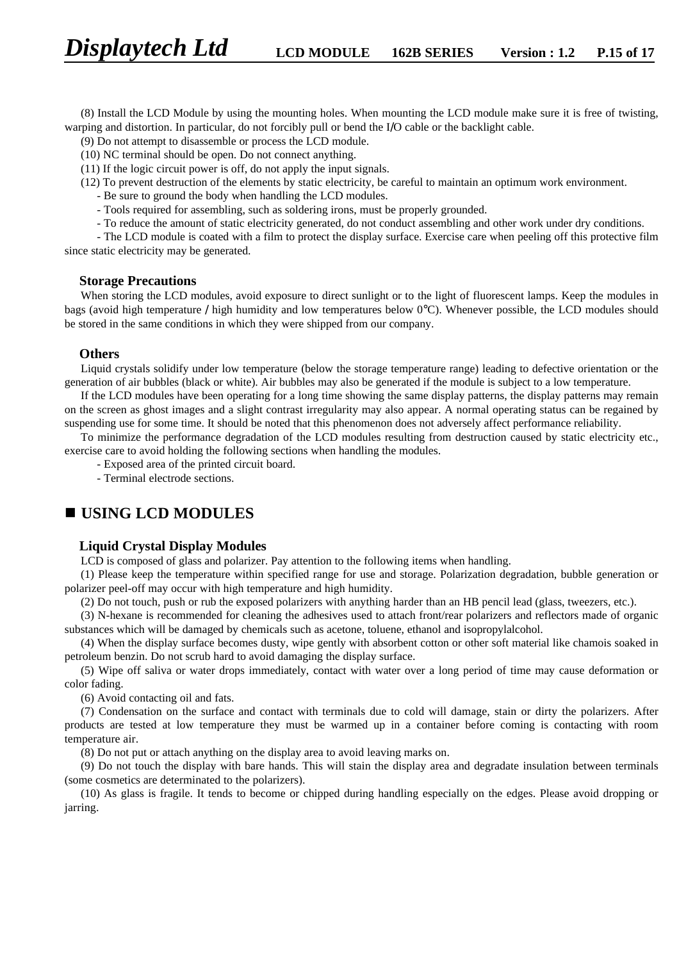(8) Install the LCD Module by using the mounting holes. When mounting the LCD module make sure it is free of twisting, warping and distortion. In particular, do not forcibly pull or bend the I/O cable or the backlight cable.

(9) Do not attempt to disassemble or process the LCD module.

(10) NC terminal should be open. Do not connect anything.

(11) If the logic circuit power is off, do not apply the input signals.

- (12) To prevent destruction of the elements by static electricity, be careful to maintain an optimum work environment.
	- Be sure to ground the body when handling the LCD modules.
	- Tools required for assembling, such as soldering irons, must be properly grounded.
	- To reduce the amount of static electricity generated, do not conduct assembling and other work under dry conditions.

- The LCD module is coated with a film to protect the display surface. Exercise care when peeling off this protective film since static electricity may be generated.

#### **Storage Precautions**

When storing the LCD modules, avoid exposure to direct sunlight or to the light of fluorescent lamps. Keep the modules in bags (avoid high temperature / high humidity and low temperatures below 0°C). Whenever possible, the LCD modules should be stored in the same conditions in which they were shipped from our company.

#### **Others**

Liquid crystals solidify under low temperature (below the storage temperature range) leading to defective orientation or the generation of air bubbles (black or white). Air bubbles may also be generated if the module is subject to a low temperature.

If the LCD modules have been operating for a long time showing the same display patterns, the display patterns may remain on the screen as ghost images and a slight contrast irregularity may also appear. A normal operating status can be regained by suspending use for some time. It should be noted that this phenomenon does not adversely affect performance reliability.

To minimize the performance degradation of the LCD modules resulting from destruction caused by static electricity etc., exercise care to avoid holding the following sections when handling the modules.

- Exposed area of the printed circuit board.

- Terminal electrode sections.

# **n USING LCD MODULES**

#### **Liquid Crystal Display Modules**

LCD is composed of glass and polarizer. Pay attention to the following items when handling.

(1) Please keep the temperature within specified range for use and storage. Polarization degradation, bubble generation or polarizer peel-off may occur with high temperature and high humidity.

(2) Do not touch, push or rub the exposed polarizers with anything harder than an HB pencil lead (glass, tweezers, etc.).

(3) N-hexane is recommended for cleaning the adhesives used to attach front/rear polarizers and reflectors made of organic substances which will be damaged by chemicals such as acetone, toluene, ethanol and isopropylalcohol.

(4) When the display surface becomes dusty, wipe gently with absorbent cotton or other soft material like chamois soaked in petroleum benzin. Do not scrub hard to avoid damaging the display surface.

(5) Wipe off saliva or water drops immediately, contact with water over a long period of time may cause deformation or color fading.

(6) Avoid contacting oil and fats.

(7) Condensation on the surface and contact with terminals due to cold will damage, stain or dirty the polarizers. After products are tested at low temperature they must be warmed up in a container before coming is contacting with room temperature air.

(8) Do not put or attach anything on the display area to avoid leaving marks on.

(9) Do not touch the display with bare hands. This will stain the display area and degradate insulation between terminals (some cosmetics are determinated to the polarizers).

(10) As glass is fragile. It tends to become or chipped during handling especially on the edges. Please avoid dropping or jarring.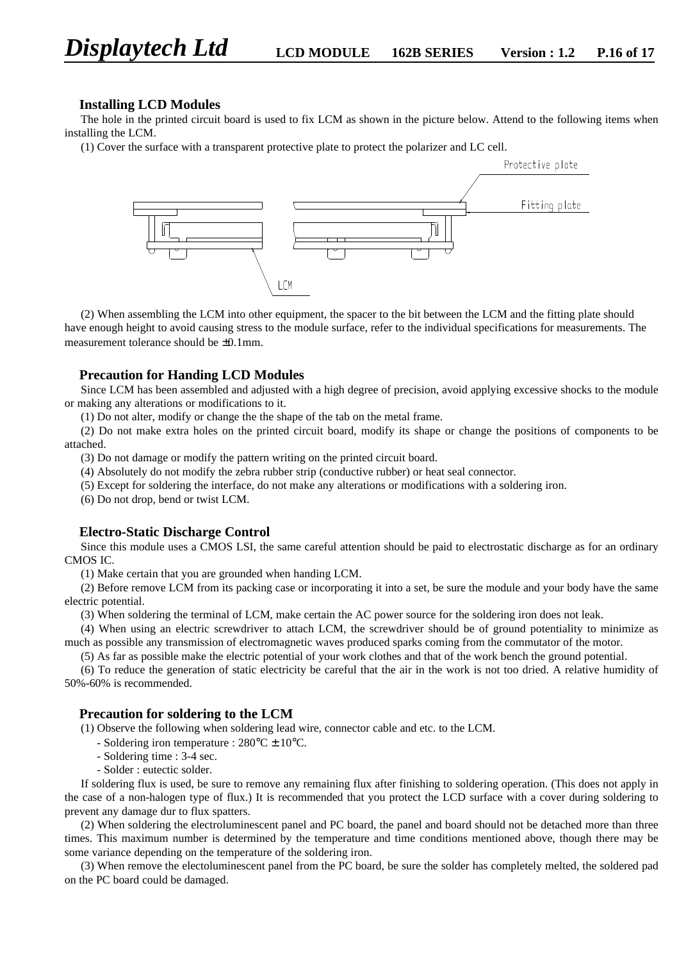#### **Installing LCD Modules**

The hole in the printed circuit board is used to fix LCM as shown in the picture below. Attend to the following items when installing the LCM.

(1) Cover the surface with a transparent protective plate to protect the polarizer and LC cell.



(2) When assembling the LCM into other equipment, the spacer to the bit between the LCM and the fitting plate should have enough height to avoid causing stress to the module surface, refer to the individual specifications for measurements. The measurement tolerance should be ±0.1mm.

#### **Precaution for Handing LCD Modules**

Since LCM has been assembled and adjusted with a high degree of precision, avoid applying excessive shocks to the module or making any alterations or modifications to it.

(1) Do not alter, modify or change the the shape of the tab on the metal frame.

(2) Do not make extra holes on the printed circuit board, modify its shape or change the positions of components to be attached.

(3) Do not damage or modify the pattern writing on the printed circuit board.

(4) Absolutely do not modify the zebra rubber strip (conductive rubber) or heat seal connector.

(5) Except for soldering the interface, do not make any alterations or modifications with a soldering iron.

(6) Do not drop, bend or twist LCM.

#### **Electro-Static Discharge Control**

Since this module uses a CMOS LSI, the same careful attention should be paid to electrostatic discharge as for an ordinary CMOS IC.

(1) Make certain that you are grounded when handing LCM.

(2) Before remove LCM from its packing case or incorporating it into a set, be sure the module and your body have the same electric potential.

(3) When soldering the terminal of LCM, make certain the AC power source for the soldering iron does not leak.

(4) When using an electric screwdriver to attach LCM, the screwdriver should be of ground potentiality to minimize as much as possible any transmission of electromagnetic waves produced sparks coming from the commutator of the motor.

(5) As far as possible make the electric potential of your work clothes and that of the work bench the ground potential.

(6) To reduce the generation of static electricity be careful that the air in the work is not too dried. A relative humidity of 50%-60% is recommended.

#### **Precaution for soldering to the LCM**

(1) Observe the following when soldering lead wire, connector cable and etc. to the LCM.

- Soldering iron temperature :  $280^{\circ}$ C  $\pm$  10<sup>o</sup>C.
- Soldering time : 3-4 sec.
- Solder : eutectic solder.

If soldering flux is used, be sure to remove any remaining flux after finishing to soldering operation. (This does not apply in the case of a non-halogen type of flux.) It is recommended that you protect the LCD surface with a cover during soldering to prevent any damage dur to flux spatters.

(2) When soldering the electroluminescent panel and PC board, the panel and board should not be detached more than three times. This maximum number is determined by the temperature and time conditions mentioned above, though there may be some variance depending on the temperature of the soldering iron.

(3) When remove the electoluminescent panel from the PC board, be sure the solder has completely melted, the soldered pad on the PC board could be damaged.